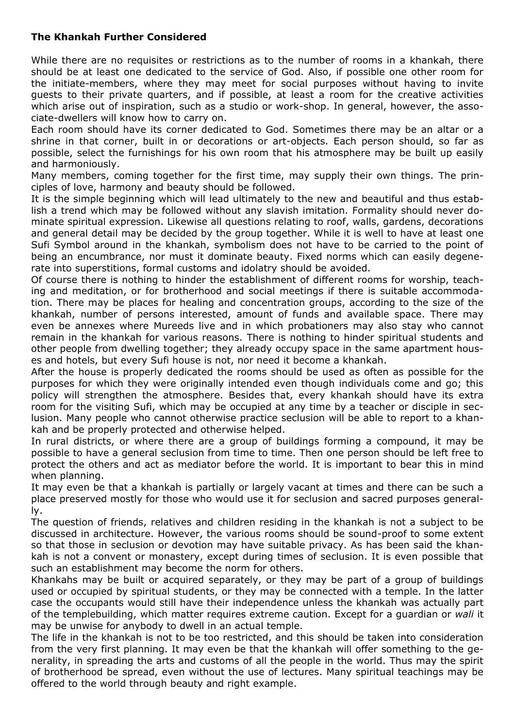## **The Khankah Further Considered**

While there are no requisites or restrictions as to the number of rooms in a khankah, there should be at least one dedicated to the service of God. Also, if possible one other room for the initiate-members, where they may meet for social purposes without having to invite guests to their private quarters, and if possible, at least a room for the creative activities which arise out of inspiration, such as a studio or work-shop. In general, however, the associate-dwellers will know how to carry on.

Each room should have its corner dedicated to God. Sometimes there may be an altar or a shrine in that corner, built in or decorations or art-objects. Each person should, so far as possible, select the furnishings for his own room that his atmosphere may be built up easily and harmoniously.

Many members, coming together for the first time, may supply their own things. The principles of love, harmony and beauty should be followed.

It is the simple beginning which will lead ultimately to the new and beautiful and thus establish a trend which may be followed without any slavish imitation. Formality should never dominate spiritual expression. Likewise all questions relating to roof, walls, gardens, decorations and general detail may be decided by the group together. While it is well to have at least one Sufi Symbol around in the khankah, symbolism does not have to be carried to the point of being an encumbrance, nor must it dominate beauty. Fixed norms which can easily degenerate into superstitions, formal customs and idolatry should be avoided.

Of course there is nothing to hinder the establishment of different rooms for worship, teaching and meditation, or for brotherhood and social meetings if there is suitable accommodation. There may be places for healing and concentration groups, according to the size of the khankah, number of persons interested, amount of funds and available space. There may even be annexes where Mureeds live and in which probationers may also stay who cannot remain in the khankah for various reasons. There is nothing to hinder spiritual students and other people from dwelling together; they already occupy space in the same apartment houses and hotels, but every Sufi house is not, nor need it become a khankah.

After the house is properly dedicated the rooms should be used as often as possible for the purposes for which they were originally intended even though individuals come and go; this policy will strengthen the atmosphere. Besides that, every khankah should have its extra room for the visiting Sufi, which may be occupied at any time by a teacher or disciple in seclusion. Many people who cannot otherwise practice seclusion will be able to report to a khankah and be properly protected and otherwise helped.

In rural districts, or where there are a group of buildings forming a compound, it may be possible to have a general seclusion from time to time. Then one person should be left free to protect the others and act as mediator before the world. It is important to bear this in mind when planning.

It may even be that a khankah is partially or largely vacant at times and there can be such a place preserved mostly for those who would use it for seclusion and sacred purposes generally.

The question of friends, relatives and children residing in the khankah is not a subject to be discussed in architecture. However, the various rooms should be sound-proof to some extent so that those in seclusion or devotion may have suitable privacy. As has been said the khankah is not a convent or monastery, except during times of seclusion. It is even possible that such an establishment may become the norm for others.

Khankahs may be built or acquired separately, or they may be part of a group of buildings used or occupied by spiritual students, or they may be connected with a temple. In the latter case the occupants would still have their independence unless the khankah was actually part of the templebuilding, which matter requires extreme caution. Except for a guardian or *wali* it may be unwise for anybody to dwell in an actual temple.

The life in the khankah is not to be too restricted, and this should be taken into consideration from the very first planning. It may even be that the khankah will offer something to the generality, in spreading the arts and customs of all the people in the world. Thus may the spirit of brotherhood be spread, even without the use of lectures. Many spiritual teachings may be offered to the world through beauty and right example.